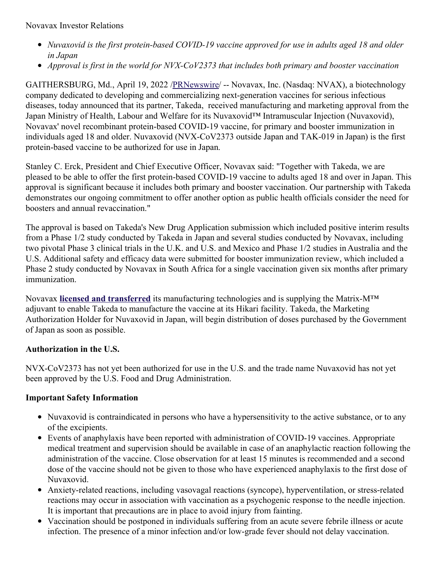- *Nuvaxovid is the first protein-based COVID-19 vaccine approved for use in adults aged 18 and older in Japan*
- *Approval is first in the world for NVX-CoV2373 that includes both primary and booster vaccination*

GAITHERSBURG, Md., April 19, 2022 [/PRNewswire](http://www.prnewswire.com/)/ -- Novavax, Inc. (Nasdaq: NVAX), a biotechnology company dedicated to developing and commercializing next-generation vaccines for serious infectious diseases, today announced that its partner, Takeda, received manufacturing and marketing approval from the Japan Ministry of Health, Labour and Welfare for its Nuvaxovid™ Intramuscular Injection (Nuvaxovid), Novavax' novel recombinant protein-based COVID-19 vaccine, for primary and booster immunization in individuals aged 18 and older. Nuvaxovid (NVX-CoV2373 outside Japan and TAK-019 in Japan) is the first protein-based vaccine to be authorized for use in Japan.

Stanley C. Erck, President and Chief Executive Officer, Novavax said: "Together with Takeda, we are pleased to be able to offer the first protein-based COVID-19 vaccine to adults aged 18 and over in Japan. This approval is significant because it includes both primary and booster vaccination. Our partnership with Takeda demonstrates our ongoing commitment to offer another option as public health officials consider the need for boosters and annual revaccination."

The approval is based on Takeda's New Drug Application submission which included positive interim results from a Phase 1/2 study conducted by Takeda in Japan and several studies conducted by Novavax, including two pivotal Phase 3 clinical trials in the U.K. and U.S. and Mexico and Phase 1/2 studies in Australia and the U.S. Additional safety and efficacy data were submitted for booster immunization review, which included a Phase 2 study conducted by Novavax in South Africa for a single vaccination given six months after primary immunization.

Novavax **licensed and [transferred](https://c212.net/c/link/?t=0&l=en&o=3508597-1&h=2390246494&u=https%3A%2F%2Fwww.takedavaccines.com%2Fnews%2Frelease%2Fnovavax-and-takeda-announce-collaboration-for--novavax-covid-19-vaccine-candidate-in-japan%2F&a=licensed+and+transferred)** its manufacturing technologies and is supplying the Matrix-M™ adjuvant to enable Takeda to manufacture the vaccine at its Hikari facility. Takeda, the Marketing Authorization Holder for Nuvaxovid in Japan, will begin distribution of doses purchased by the Government of Japan as soon as possible.

### **Authorization in the U.S.**

NVX-CoV2373 has not yet been authorized for use in the U.S. and the trade name Nuvaxovid has not yet been approved by the U.S. Food and Drug Administration.

# **Important Safety Information**

- Nuvaxovid is contraindicated in persons who have a hypersensitivity to the active substance, or to any of the excipients.
- Events of anaphylaxis have been reported with administration of COVID-19 vaccines. Appropriate medical treatment and supervision should be available in case of an anaphylactic reaction following the administration of the vaccine. Close observation for at least 15 minutes is recommended and a second dose of the vaccine should not be given to those who have experienced anaphylaxis to the first dose of Nuvaxovid.
- Anxiety-related reactions, including vasovagal reactions (syncope), hyperventilation, or stress-related reactions may occur in association with vaccination as a psychogenic response to the needle injection. It is important that precautions are in place to avoid injury from fainting.
- Vaccination should be postponed in individuals suffering from an acute severe febrile illness or acute infection. The presence of a minor infection and/or low-grade fever should not delay vaccination.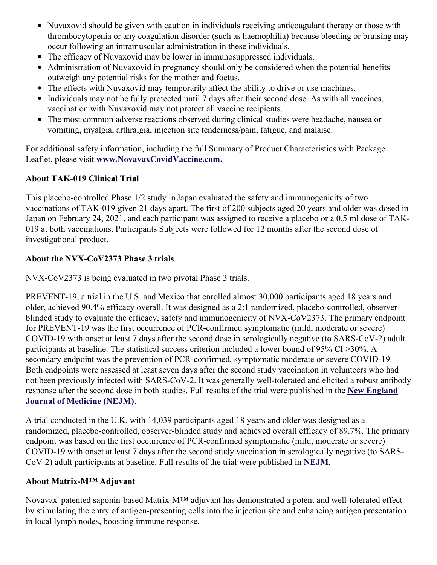- Nuvaxovid should be given with caution in individuals receiving anticoagulant therapy or those with thrombocytopenia or any coagulation disorder (such as haemophilia) because bleeding or bruising may occur following an intramuscular administration in these individuals.
- The efficacy of Nuvaxovid may be lower in immunosuppressed individuals.
- Administration of Nuvaxovid in pregnancy should only be considered when the potential benefits outweigh any potential risks for the mother and foetus.
- The effects with Nuvaxovid may temporarily affect the ability to drive or use machines.
- Individuals may not be fully protected until 7 days after their second dose. As with all vaccines, vaccination with Nuvaxovid may not protect all vaccine recipients.
- The most common adverse reactions observed during clinical studies were headache, nausea or vomiting, myalgia, arthralgia, injection site tenderness/pain, fatigue, and malaise.

For additional safety information, including the full Summary of Product Characteristics with Package Leaflet, please visit **[www.NovavaxCovidVaccine.com](https://c212.net/c/link/?t=0&l=en&o=3508597-1&h=1706048597&u=https%3A%2F%2Foneomnicom-my.sharepoint.com%2Fpersonal%2Falice_beynon_porternovelli_com%2FDocuments%2FDocuments%2Fwww.NovavaxCovidVaccine.com&a=www.NovavaxCovidVaccine.com).**

## **About TAK-019 Clinical Trial**

This placebo-controlled Phase 1/2 study in Japan evaluated the safety and immunogenicity of two vaccinations of TAK-019 given 21 days apart. The first of 200 subjects aged 20 years and older was dosed in Japan on February 24, 2021, and each participant was assigned to receive a placebo or a 0.5 ml dose of TAK-019 at both vaccinations. Participants Subjects were followed for 12 months after the second dose of investigational product.

## **About the NVX-CoV2373 Phase 3 trials**

NVX-CoV2373 is being evaluated in two pivotal Phase 3 trials.

PREVENT-19, a trial in the U.S. and Mexico that enrolled almost 30,000 participants aged 18 years and older, achieved 90.4% efficacy overall. It was designed as a 2:1 randomized, placebo-controlled, observerblinded study to evaluate the efficacy, safety and immunogenicity of NVX-CoV2373. The primary endpoint for PREVENT-19 was the first occurrence of PCR-confirmed symptomatic (mild, moderate or severe) COVID-19 with onset at least 7 days after the second dose in serologically negative (to SARS-CoV-2) adult participants at baseline. The statistical success criterion included a lower bound of 95% CI >30%. A secondary endpoint was the prevention of PCR-confirmed, symptomatic moderate or severe COVID-19. Both endpoints were assessed at least seven days after the second study vaccination in volunteers who had not been previously infected with SARS-CoV-2. It was generally well-tolerated and elicited a robust antibody response after the second dose in both studies. Full results of the trial were published in the **New England Journal of [Medicine](https://c212.net/c/link/?t=0&l=en&o=3508597-1&h=3454798804&u=https%3A%2F%2Fc212.net%2Fc%2Flink%2F%3Ft%3D0%26l%3Den%26o%3D3490095-1%26h%3D276014382%26u%3Dhttps%253A%252F%252Fc212.net%252Fc%252Flink%252F%253Ft%253D0%2526l%253Den%2526o%253D3440781-1%2526h%253D467849857%2526u%253Dhttps%25253A%25252F%25252Fwww.nejm.org%25252Fdoi%25252Ffull%25252F10.1056%25252FNEJMoa2116185%25253Fquery%25253Dfeatured_home%2526a%253DNew%252BEngland%252BJournal%252Bof%252BMedicine%26a%3DNew%2BEngland%2BJournal%2Bof%2BMedicine&a=New+England+Journal+of+Medicine+(NEJM)) (NEJM)**.

A trial conducted in the U.K. with 14,039 participants aged 18 years and older was designed as a randomized, placebo-controlled, observer-blinded study and achieved overall efficacy of 89.7%. The primary endpoint was based on the first occurrence of PCR-confirmed symptomatic (mild, moderate or severe) COVID-19 with onset at least 7 days after the second study vaccination in serologically negative (to SARS-CoV-2) adult participants at baseline. Full results of the trial were published in **[NEJM](https://c212.net/c/link/?t=0&l=en&o=3508597-1&h=3044567830&u=https%3A%2F%2Fc212.net%2Fc%2Flink%2F%3Ft%3D0%26l%3Den%26o%3D3490095-1%26h%3D4093184113%26u%3Dhttps%253A%252F%252Fc212.net%252Fc%252Flink%252F%253Ft%253D0%2526l%253Den%2526o%253D3440781-1%2526h%253D3617137863%2526u%253Dhttps%25253A%25252F%25252Fwww.nejm.org%25252Fdoi%25252Ffull%25252F10.1056%25252FNEJMoa2107659%2526a%253DNEJM%26a%3DNEJM&a=NEJM)**.

### **About Matrix-M™ Adjuvant**

Novavax' patented saponin-based Matrix-M™ adjuvant has demonstrated a potent and well-tolerated effect by stimulating the entry of antigen-presenting cells into the injection site and enhancing antigen presentation in local lymph nodes, boosting immune response.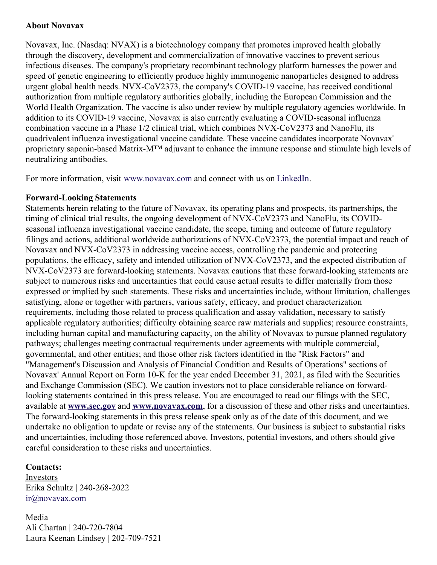#### **About Novavax**

Novavax, Inc. (Nasdaq: NVAX) is a biotechnology company that promotes improved health globally through the discovery, development and commercialization of innovative vaccines to prevent serious infectious diseases. The company's proprietary recombinant technology platform harnesses the power and speed of genetic engineering to efficiently produce highly immunogenic nanoparticles designed to address urgent global health needs. NVX-CoV2373, the company's COVID-19 vaccine, has received conditional authorization from multiple regulatory authorities globally, including the European Commission and the World Health Organization. The vaccine is also under review by multiple regulatory agencies worldwide. In addition to its COVID-19 vaccine, Novavax is also currently evaluating a COVID-seasonal influenza combination vaccine in a Phase 1/2 clinical trial, which combines NVX-CoV2373 and NanoFlu, its quadrivalent influenza investigational vaccine candidate. These vaccine candidates incorporate Novavax' proprietary saponin-based Matrix-M™ adjuvant to enhance the immune response and stimulate high levels of neutralizing antibodies.

For more information, visit [www.novavax.com](https://c212.net/c/link/?t=0&l=en&o=3508597-1&h=3191955256&u=https%3A%2F%2Fc212.net%2Fc%2Flink%2F%3Ft%3D0%26l%3Den%26o%3D3460980-1%26h%3D3623927874%26u%3Dhttps%253A%252F%252Fc212.net%252Fc%252Flink%252F%253Ft%253D0%2526l%253Den%2526o%253D3457869-1%2526h%253D982408174%2526u%253Dhttps%25253A%25252F%25252Fc212.net%25252Fc%25252Flink%25252F%25253Ft%25253D0%252526l%25253Den%252526o%25253D3440781-1%252526h%25253D3964594936%252526u%25253Dhttps%2525253A%2525252F%2525252Fc212.net%2525252Fc%2525252Flink%2525252F%2525253Ft%2525253D0%25252526l%2525253Den%25252526o%2525253D3395501-1%25252526h%2525253D2463599076%25252526u%2525253Dhttps%252525253A%252525252F%252525252Fc212.net%252525252Fc%252525252Flink%252525252F%252525253Ft%252525253D0%2525252526l%252525253Den%2525252526o%252525253D3392093-1%2525252526h%252525253D203886192%2525252526u%252525253Dhttps%25252525253A%25252525252F%25252525252Fc212.net%25252525252Fc%25252525252Flink%25252525252F%25252525253Ft%25252525253D0%252525252526l%25252525253Den%252525252526o%25252525253D3387216-1%252525252526h%25252525253D3917401194%252525252526u%25252525253Dhttps%2525252525253A%2525252525252F%2525252525252Fc212.net%2525252525252Fc%2525252525252Flink%2525252525252F%2525252525253Ft%2525252525253D0%25252525252526l%2525252525253Den%25252525252526o%2525252525253D3260461-1%25252525252526h%2525252525253D2897486098%25252525252526u%2525252525253Dhttp%252525252525253A%252525252525252F%252525252525252Fwww.novavax.com%252525252525252F%25252525252526a%2525252525253Dwww.novavax.com%252525252526a%25252525253Dwww.novavax.com%2525252526a%252525253Dwww.novavax.com%25252526a%2525253Dwww.novavax.com%252526a%25253Dwww.novavax.com%2526a%253Dwww.novavax.com%26a%3Dwww.novavax.com&a=www.novavax.com) and connect with us on [LinkedIn](https://c212.net/c/link/?t=0&l=en&o=3508597-1&h=2729571401&u=https%3A%2F%2Fc212.net%2Fc%2Flink%2F%3Ft%3D0%26l%3Den%26o%3D3460980-1%26h%3D91088807%26u%3Dhttps%253A%252F%252Fc212.net%252Fc%252Flink%252F%253Ft%253D0%2526l%253Den%2526o%253D3457869-1%2526h%253D1725473980%2526u%253Dhttps%25253A%25252F%25252Fc212.net%25252Fc%25252Flink%25252F%25253Ft%25253D0%252526l%25253Den%252526o%25253D3440781-1%252526h%25253D2733326919%252526u%25253Dhttps%2525253A%2525252F%2525252Fc212.net%2525252Fc%2525252Flink%2525252F%2525253Ft%2525253D0%25252526l%2525253Den%25252526o%2525253D3395501-1%25252526h%2525253D853375093%25252526u%2525253Dhttps%252525253A%252525252F%252525252Fc212.net%252525252Fc%252525252Flink%252525252F%252525253Ft%252525253D0%2525252526l%252525253Den%2525252526o%252525253D3392093-1%2525252526h%252525253D1325598136%2525252526u%252525253Dhttps%25252525253A%25252525252F%25252525252Fc212.net%25252525252Fc%25252525252Flink%25252525252F%25252525253Ft%25252525253D0%252525252526l%25252525253Den%252525252526o%25252525253D3387216-1%252525252526h%25252525253D2935962557%252525252526u%25252525253Dhttps%2525252525253A%2525252525252F%2525252525252Fc212.net%2525252525252Fc%2525252525252Flink%2525252525252F%2525252525253Ft%2525252525253D0%25252525252526l%2525252525253Den%25252525252526o%2525252525253D3260461-1%25252525252526h%2525252525253D1508558197%25252525252526u%2525252525253Dhttps%252525252525253A%252525252525252F%252525252525252Fc212.net%252525252525252Fc%252525252525252Flink%252525252525252F%252525252525253Ft%252525252525253D0%2525252525252526l%252525252525253Den%2525252525252526o%252525252525253D3158017-1%2525252525252526h%252525252525253D3702938248%2525252525252526u%252525252525253Dhttps%25252525252525253A%25252525252525252F%25252525252525252Fwww.linkedin.com%25252525252525252Fcompany%25252525252525252Fnovavax%25252525252525252F%2525252525252526a%252525252525253DLinkedIn%25252525252526a%2525252525253DLinkedIn%252525252526a%25252525253DLinkedIn%2525252526a%252525253DLinkedIn%25252526a%2525253DLinkedIn%252526a%25253DLinkedIn%2526a%253DLinkedIn%26a%3DLinkedIn&a=LinkedIn).

#### **Forward-Looking Statements**

Statements herein relating to the future of Novavax, its operating plans and prospects, its partnerships, the timing of clinical trial results, the ongoing development of NVX-CoV2373 and NanoFlu, its COVIDseasonal influenza investigational vaccine candidate, the scope, timing and outcome of future regulatory filings and actions, additional worldwide authorizations of NVX-CoV2373, the potential impact and reach of Novavax and NVX-CoV2373 in addressing vaccine access, controlling the pandemic and protecting populations, the efficacy, safety and intended utilization of NVX-CoV2373, and the expected distribution of NVX-CoV2373 are forward-looking statements. Novavax cautions that these forward-looking statements are subject to numerous risks and uncertainties that could cause actual results to differ materially from those expressed or implied by such statements. These risks and uncertainties include, without limitation, challenges satisfying, alone or together with partners, various safety, efficacy, and product characterization requirements, including those related to process qualification and assay validation, necessary to satisfy applicable regulatory authorities; difficulty obtaining scarce raw materials and supplies; resource constraints, including human capital and manufacturing capacity, on the ability of Novavax to pursue planned regulatory pathways; challenges meeting contractual requirements under agreements with multiple commercial, governmental, and other entities; and those other risk factors identified in the "Risk Factors" and "Management's Discussion and Analysis of Financial Condition and Results of Operations" sections of Novavax' Annual Report on Form 10-K for the year ended December 31, 2021, as filed with the Securities and Exchange Commission (SEC). We caution investors not to place considerable reliance on forwardlooking statements contained in this press release. You are encouraged to read our filings with the SEC, available at **[www.sec.gov](https://c212.net/c/link/?t=0&l=en&o=3508597-1&h=2949059245&u=https%3A%2F%2Foneomnicom-my.sharepoint.com%2Fpersonal%2Falice_beynon_porternovelli_com%2FDocuments%2FDocuments%2Fwww.sec.gov&a=www.sec.gov)** and **[www.novavax.com](https://c212.net/c/link/?t=0&l=en&o=3508597-1&h=104422779&u=https%3A%2F%2Foneomnicom-my.sharepoint.com%2Fpersonal%2Falice_beynon_porternovelli_com%2FDocuments%2FDocuments%2Fwww.novavax.com&a=www.novavax.com)**, for a discussion of these and other risks and uncertainties. The forward-looking statements in this press release speak only as of the date of this document, and we undertake no obligation to update or revise any of the statements. Our business is subject to substantial risks and uncertainties, including those referenced above. Investors, potential investors, and others should give careful consideration to these risks and uncertainties.

#### **Contacts:**

Investors Erika Schultz | 240-268-2022 [ir@novavax.com](mailto:ir@novavax.com)

Media Ali Chartan | 240-720-7804 Laura Keenan Lindsey | 202-709-7521